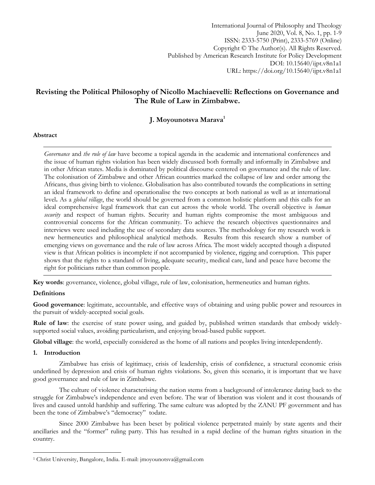International Journal of Philosophy and Theology June 2020, Vol. 8, No. 1, pp. 1-9 ISSN: 2333-5750 (Print), 2333-5769 (Online) Copyright © The Author(s). All Rights Reserved. Published by American Research Institute for Policy Development DOI: 10.15640/ijpt.v8n1a1 URL: https://doi.org/10.15640/ijpt.v8n1a1

# **Revisting the Political Philosophy of Nicollo Machiaevelli: Reflections on Governance and The Rule of Law in Zimbabwe.**

## **J. Moyounotsva Marava<sup>1</sup>**

### **Abstract**

*Governance* and *the rule of law* have become a topical agenda in the academic and international conferences and the issue of human rights violation has been widely discussed both formally and informally in Zimbabwe and in other African states. Media is dominated by political discourse centered on governance and the rule of law. The colonisation of Zimbabwe and other African countries marked the collapse of law and order among the Africans, thus giving birth to violence. Globalisation has also contributed towards the complications in setting an ideal framework to define and operationalise the two concepts at both national as well as at international level**.** As a *global village*, the world should be governed from a common holistic platform and this calls for an ideal comprehensive legal framework that can cut across the whole world. The overall objective is *human security* and respect of human rights. Security and human rights compromise the most ambiguous and controversial concerns for the African community. To achieve the research objectives questionnaires and interviews were used including the use of secondary data sources. The methodology for my research work is new hermeneutics and philosophical analytical methods. Results from this research show a number of emerging views on governance and the rule of law across Africa. The most widely accepted though a disputed view is that African politics is incomplete if not accompanied by violence, rigging and corruption. This paper shows that the rights to a standard of living, adequate security, medical care, land and peace have become the right for politicians rather than common people.

**Key words**: governance, violence, global village, rule of law, colonisation, hermeneutics and human rights.

### **Definitions**

**Good governance**: legitimate, accountable, and effective ways of obtaining and using public power and resources in the pursuit of widely-accepted social goals.

**Rule of law**: the exercise of state power using, and guided by, published written standards that embody widelysupported social values, avoiding particularism, and enjoying broad-based public support.

**Global village**: the world, especially considered as the home of all nations and peoples living interdependently.

### **1. Introduction**

 $\overline{a}$ 

Zimbabwe has crisis of legitimacy, crisis of leadership, crisis of confidence, a structural economic crisis underlined by depression and crisis of human rights violations. So, given this scenario, it is important that we have good governance and rule of law in Zimbabwe.

The culture of violence characterising the nation stems from a background of intolerance dating back to the struggle for Zimbabwe"s independence and even before. The war of liberation was violent and it cost thousands of lives and caused untold hardship and suffering. The same culture was adopted by the ZANU PF government and has been the tone of Zimbabwe's "democracy" todate.

Since 2000 Zimbabwe has been beset by political violence perpetrated mainly by state agents and their ancillaries and the "former" ruling party. This has resulted in a rapid decline of the human rights situation in the country.

<sup>1</sup> Christ University, Bangalore, India. E-mail: jmoyounotsva@gmail.com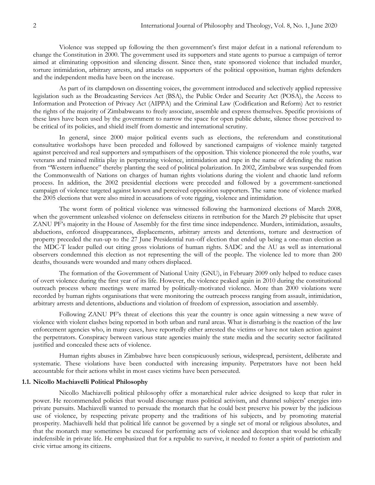Violence was stepped up following the then government"s first major defeat in a national referendum to change the Constitution in 2000. The government used its supporters and state agents to pursue a campaign of terror aimed at eliminating opposition and silencing dissent. Since then, state sponsored violence that included murder, torture intimidation, arbitrary arrests, and attacks on supporters of the political opposition, human rights defenders and the independent media have been on the increase.

As part of its clampdown on dissenting voices, the government introduced and selectively applied repressive legislation such as the Broadcasting Services Act (BSA), the Public Order and Security Act (POSA), the Access to Information and Protection of Privacy Act (AIPPA) and the Criminal Law (Codification and Reform) Act to restrict the rights of the majority of Zimbabweans to freely associate, assemble and express themselves. Specific provisions of these laws have been used by the government to narrow the space for open public debate, silence those perceived to be critical of its policies, and shield itself from domestic and international scrutiny.

In general, since 2000 major political events such as elections, the referendum and constitutional consultative workshops have been preceded and followed by sanctioned campaigns of violence mainly targeted against perceived and real supporters and sympathisers of the opposition. This violence pioneered the role youths, war veterans and trained militia play in perpetrating violence, intimidation and rape in the name of defending the nation from "Western influence" thereby planting the seed of political polarization. In 2002, Zimbabwe was suspended from the Commonwealth of Nations on charges of human rights violations during the violent and chaotic land reform process. In addition, the 2002 presidential elections were preceded and followed by a government-sanctioned campaign of violence targeted against known and perceived opposition supporters. The same tone of violence marked the 2005 elections that were also mired in accusations of vote rigging, violence and intimidation.

The worst form of political violence was witnessed following the harmonized elections of March 2008, when the government unleashed violence on defenseless citizens in retribution for the March 29 plebiscite that upset ZANU PF"s majority in the House of Assembly for the first time since independence. Murders, intimidation, assaults, abductions, enforced disappearances, displacements, arbitrary arrests and detentions, torture and destruction of property preceded the run-up to the 27 June Presidential run-off election that ended up being a one-man election as the MDC-T leader pulled out citing gross violations of human rights. SADC and the AU as well as international observers condemned this election as not representing the will of the people. The violence led to more than 200 deaths, thousands were wounded and many others displaced.

The formation of the Government of National Unity (GNU), in February 2009 only helped to reduce cases of overt violence during the first year of its life. However, the violence peaked again in 2010 during the constitutional outreach process where meetings were marred by politically-motivated violence. More than 2000 violations were recorded by human rights organisations that were monitoring the outreach process ranging from assault, intimidation, arbitrary arrests and detentions, abductions and violation of freedom of expression, association and assembly.

Following ZANU PF"s threat of elections this year the country is once again witnessing a new wave of violence with violent clashes being reported in both urban and rural areas. What is disturbing is the reaction of the law enforcement agencies who, in many cases, have reportedly either arrested the victims or have not taken action against the perpetrators. Conspiracy between various state agencies mainly the state media and the security sector facilitated justified and concealed these acts of violence.

Human rights abuses in Zimbabwe have been conspicuously serious, widespread, persistent, deliberate and systematic. These violations have been conducted with increasing impunity. Perpetrators have not been held accountable for their actions whilst in most cases victims have been persecuted.

#### **1.1. Nicollo Machiavelli Political Philosophy**

Nicollo Machiavelli political philosophy offer a monarchical ruler advice designed to keep that ruler in power. He recommended policies that would discourage mass political activism, and channel subjects' energies into private pursuits. Machiavelli wanted to persuade the monarch that he could best preserve his power by the judicious use of violence, by respecting private property and the traditions of his subjects, and by promoting material prosperity. Machiavelli held that political life cannot be governed by a single set of moral or religious absolutes, and that the monarch may sometimes be excused for performing acts of violence and deception that would be ethically indefensible in private life. He emphasized that for a republic to survive, it needed to foster a spirit of patriotism and civic virtue among its citizens.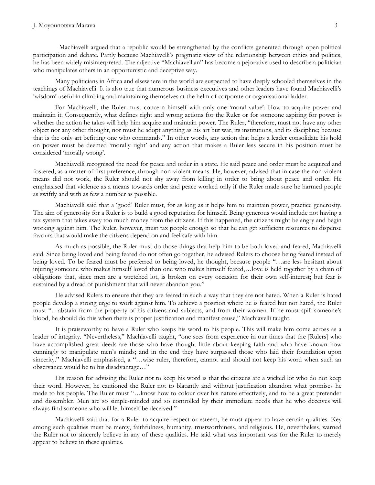Machiavelli argued that a republic would be strengthened by the conflicts generated through open political participation and debate. Partly because Machiavelli"s pragmatic view of the relationship between ethics and politics, he has been widely misinterpreted. The adjective "Machiavellian" has become a pejorative used to describe a politician who manipulates others in an opportunistic and deceptive way.

Many politicians in Africa and elsewhere in the world are suspected to have deeply schooled themselves in the teachings of Machiavelli. It is also true that numerous business executives and other leaders have found Machiavelli"s "wisdom" useful in climbing and maintaining themselves at the helm of corporate or organisational ladder.

For Machiavelli, the Ruler must concern himself with only one "moral value": How to acquire power and maintain it. Consequently, what defines right and wrong actions for the Ruler or for someone aspiring for power is whether the action he takes will help him acquire and maintain power. The Ruler, "therefore, must not have any other object nor any other thought, nor must he adopt anything as his art but war, its institutions, and its discipline; because that is the only art befitting one who commands." In other words, any action that helps a leader consolidate his hold on power must be deemed "morally right" and any action that makes a Ruler less secure in his position must be considered 'morally wrong'.

Machiavelli recognised the need for peace and order in a state. He said peace and order must be acquired and fostered, as a matter of first preference, through non-violent means. He, however, advised that in case the non-violent means did not work, the Ruler should not shy away from killing in order to bring about peace and order. He emphasised that violence as a means towards order and peace worked only if the Ruler made sure he harmed people as swiftly and with as few a number as possible.

Machiavelli said that a "good" Ruler must, for as long as it helps him to maintain power, practice generosity. The aim of generosity for a Ruler is to build a good reputation for himself. Being generous would include not having a tax system that takes away too much money from the citizens. If this happened, the citizens might be angry and begin working against him. The Ruler, however, must tax people enough so that he can get sufficient resources to dispense favours that would make the citizens depend on and feel safe with him.

As much as possible, the Ruler must do those things that help him to be both loved and feared, Machiavelli said. Since being loved and being feared do not often go together, he advised Rulers to choose being feared instead of being loved. To be feared must be preferred to being loved, he thought, because people "…are less hesitant about injuring someone who makes himself loved than one who makes himself feared,…love is held together by a chain of obligations that, since men are a wretched lot, is broken on every occasion for their own self-interest; but fear is sustained by a dread of punishment that will never abandon you."

He advised Rulers to ensure that they are feared in such a way that they are not hated. When a Ruler is hated people develop a strong urge to work against him. To achieve a position where he is feared but not hated, the Ruler must "…abstain from the property of his citizens and subjects, and from their women. If he must spill someone"s blood, he should do this when there is proper justification and manifest cause," Machiavelli taught.

It is praiseworthy to have a Ruler who keeps his word to his people. This will make him come across as a leader of integrity. "Nevertheless," Machiavelli taught, "one sees from experience in our times that the [Rulers] who have accomplished great deeds are those who have thought little about keeping faith and who have known how cunningly to manipulate men"s minds; and in the end they have surpassed those who laid their foundation upon sincerity." Machiavelli emphasised, a "...wise ruler, therefore, cannot and should not keep his word when such an observance would be to his disadvantage…"

His reason for advising the Ruler not to keep his word is that the citizens are a wicked lot who do not keep their word. However, he cautioned the Ruler not to blatantly and without justification abandon what promises he made to his people. The Ruler must "…know how to colour over his nature effectively, and to be a great pretender and dissembler. Men are so simple-minded and so controlled by their immediate needs that he who deceives will always find someone who will let himself be deceived."

Machiavelli said that for a Ruler to acquire respect or esteem, he must appear to have certain qualities. Key among such qualities must be mercy, faithfulness, humanity, trustworthiness, and religious. He, nevertheless, warned the Ruler not to sincerely believe in any of these qualities. He said what was important was for the Ruler to merely appear to believe in these qualities.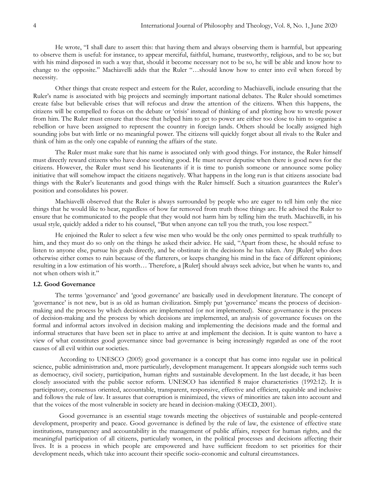He wrote, "I shall dare to assert this: that having them and always observing them is harmful, but appearing to observe them is useful: for instance, to appear merciful, faithful, humane, trustworthy, religious, and to be so; but with his mind disposed in such a way that, should it become necessary not to be so, he will be able and know how to change to the opposite." Machiavelli adds that the Ruler "…should know how to enter into evil when forced by necessity.

Other things that create respect and esteem for the Ruler, according to Machiavelli, include ensuring that the Ruler's name is associated with big projects and seemingly important national debates. The Ruler should sometimes create false but believable crises that will refocus and draw the attention of the citizens. When this happens, the citizens will be compelled to focus on the debate or "crisis" instead of thinking of and plotting how to wrestle power from him. The Ruler must ensure that those that helped him to get to power are either too close to him to organise a rebellion or have been assigned to represent the country in foreign lands. Others should be locally assigned high sounding jobs but with little or no meaningful power. The citizens will quickly forget about all rivals to the Ruler and think of him as the only one capable of running the affairs of the state.

The Ruler must make sure that his name is associated only with good things. For instance, the Ruler himself must directly reward citizens who have done soothing good. He must never deputise when there is good news for the citizens. However, the Ruler must send his lieutenants if it is time to punish someone or announce some policy initiative that will somehow impact the citizens negatively. What happens in the long run is that citizens associate bad things with the Ruler"s lieutenants and good things with the Ruler himself. Such a situation guarantees the Ruler"s position and consolidates his power.

Machiavelli observed that the Ruler is always surrounded by people who are eager to tell him only the nice things that he would like to hear, regardless of how far removed from truth those things are. He advised the Ruler to ensure that he communicated to the people that they would not harm him by telling him the truth. Machiavelli, in his usual style, quickly added a rider to his counsel, "But when anyone can tell you the truth, you lose respect."

He enjoined the Ruler to select a few wise men who would be the only ones permitted to speak truthfully to him, and they must do so only on the things he asked their advice. He said, "Apart from these, he should refuse to listen to anyone else, pursue his goals directly, and be obstinate in the decisions he has taken. Any [Ruler] who does otherwise either comes to ruin because of the flatterers, or keeps changing his mind in the face of different opinions; resulting in a low estimation of his worth… Therefore, a [Ruler] should always seek advice, but when he wants to, and not when others wish it."

#### **1.2. Good Governance**

The terms "governance" and "good governance" are basically used in development literature. The concept of 'governance' is not new, but is as old as human civilization. Simply put 'governance' means the process of decisionmaking and the process by which decisions are implemented (or not implemented). Since governance is the process of decision-making and the process by which decisions are implemented, an analysis of governance focuses on the formal and informal actors involved in decision making and implementing the decisions made and the formal and informal structures that have been set in place to arrive at and implement the decision. It is quite wanton to have a view of what constitutes good governance since bad governance is being increasingly regarded as one of the root causes of all evil within our societies.

According to UNESCO (2005) good governance is a concept that has come into regular use in political science, public administration and, more particularly, development management. It appears alongside such terms such as democracy, civil society, participation, human rights and sustainable development. In the last decade, it has been closely associated with the public sector reform. UNESCO has identified 8 major characteristics (1992:12). It is participatory, consensus oriented, accountable, transparent, responsive, effective and efficient, equitable and inclusive and follows the rule of law. It assures that corruption is minimized, the views of minorities are taken into account and that the voices of the most vulnerable in society are heard in decision-making (OECD, 2001).

Good governance is an essential stage towards meeting the objectives of sustainable and people-centered development, prosperity and peace. Good governance is defined by the rule of law, the existence of effective state institutions, transparency and accountability in the management of public affairs, respect for human rights, and the meaningful participation of all citizens, particularly women, in the political processes and decisions affecting their lives. It is a process in which people are empowered and have sufficient freedom to set priorities for their development needs, which take into account their specific socio-economic and cultural circumstances.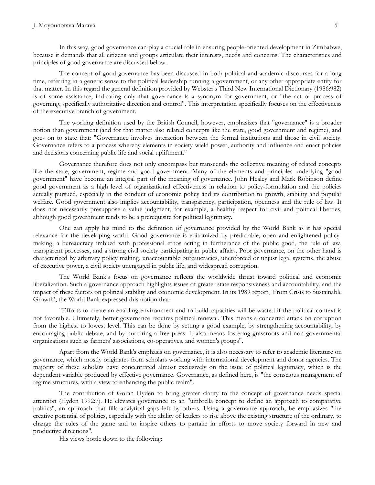In this way, good governance can play a crucial role in ensuring people-oriented development in Zimbabwe, because it demands that all citizens and groups articulate their interests, needs and concerns. The characteristics and principles of good governance are discussed below.

The concept of good governance has been discussed in both political and academic discourses for a long time, referring in a generic sense to the political leadership running a government, or any other appropriate entity for that matter. In this regard the general definition provided by Webster's Third New International Dictionary (1986:982) is of some assistance, indicating only that governance is a synonym for government, or "the act or process of governing, specifically authoritative direction and control". This interpretation specifically focuses on the effectiveness of the executive branch of government.

The working definition used by the British Council, however, emphasizes that "governance" is a broader notion than government (and for that matter also related concepts like the state, good government and regime), and goes on to state that: "Governance involves interaction between the formal institutions and those in civil society. Governance refers to a process whereby elements in society wield power, authority and influence and enact policies and decisions concerning public life and social upliftment."

Governance therefore does not only encompass but transcends the collective meaning of related concepts like the state, government, regime and good government. Many of the elements and principles underlying "good government" have become an integral part of the meaning of governance. John Healey and Mark Robinson define good government as a high level of organizational effectiveness in relation to policy-formulation and the policies actually pursued, especially in the conduct of economic policy and its contribution to growth, stability and popular welfare. Good government also implies accountability, transparency, participation, openness and the rule of law. It does not necessarily presuppose a value judgment, for example, a healthy respect for civil and political liberties, although good government tends to be a prerequisite for political legitimacy.

One can apply his mind to the definition of governance provided by the World Bank as it has special relevance for the developing world. Good governance is epitomized by predictable, open and enlightened policymaking, a bureaucracy imbued with professional ethos acting in furtherance of the public good, the rule of law, transparent processes, and a strong civil society participating in public affairs. Poor governance, on the other hand is characterized by arbitrary policy making, unaccountable bureaucracies, unenforced or unjust legal systems, the abuse of executive power, a civil society unengaged in public life, and widespread corruption.

The World Bank's focus on governance reflects the worldwide thrust toward political and economic liberalization. Such a governance approach highlights issues of greater state responsiveness and accountability, and the impact of these factors on political stability and economic development. In its 1989 report, "From Crisis to Sustainable Growth', the World Bank expressed this notion that:

"Efforts to create an enabling environment and to build capacities will be wasted if the political context is not favorable. Ultimately, better governance requires political renewal. This means a concerted attack on corruption from the highest to lowest level. This can be done by setting a good example, by strengthening accountability, by encouraging public debate, and by nurturing a free press. It also means fostering grassroots and non-governmental organizations such as farmers' associations, co-operatives, and women's groups".

Apart from the World Bank's emphasis on governance, it is also necessary to refer to academic literature on governance, which mostly originates from scholars working with international development and donor agencies. The majority of these scholars have concentrated almost exclusively on the issue of political legitimacy, which is the dependent variable produced by effective governance. Governance, as defined here, is "the conscious management of regime structures, with a view to enhancing the public realm".

The contribution of Goran Hyden to bring greater clarity to the concept of governance needs special attention (Hyden 1992:7). He elevates governance to an "umbrella concept to define an approach to comparative politics", an approach that fills analytical gaps left by others. Using a governance approach, he emphasizes "the creative potential of politics, especially with the ability of leaders to rise above the existing structure of the ordinary, to change the rules of the game and to inspire others to partake in efforts to move society forward in new and productive directions".

His views bottle down to the following: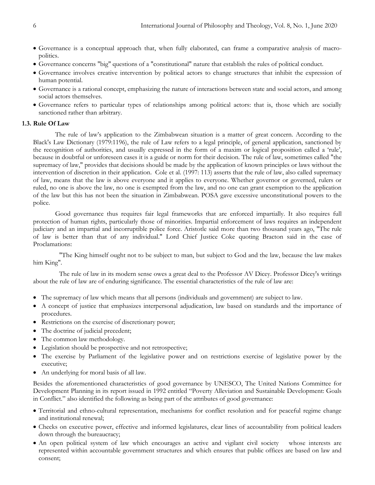- Governance is a conceptual approach that, when fully elaborated, can frame a comparative analysis of macropolitics.
- Governance concerns "big" questions of a "constitutional" nature that establish the rules of political conduct.
- Governance involves creative intervention by political actors to change structures that inhibit the expression of human potential.
- Governance is a rational concept, emphasizing the nature of interactions between state and social actors, and among social actors themselves.
- Governance refers to particular types of relationships among political actors: that is, those which are socially sanctioned rather than arbitrary.

### **1.3. Rule Of Law**

The rule of law"s application to the Zimbabwean situation is a matter of great concern. According to the Black's Law Dictionary (1979:1196), the rule of Law refers to a legal principle, of general application, sanctioned by the recognition of authorities, and usually expressed in the form of a maxim or logical proposition called a "rule", because in doubtful or unforeseen cases it is a guide or norm for their decision. The rule of law, sometimes called "the supremacy of law," provides that decisions should be made by the application of known principles or laws without the intervention of discretion in their application. Cole et al. (1997: 113) asserts that the rule of law, also called supremacy of law, means that the law is above everyone and it applies to everyone. Whether governor or governed, rulers or ruled, no one is above the law, no one is exempted from the law, and no one can grant exemption to the application of the law but this has not been the situation in Zimbabwean. POSA gave excessive unconstitutional powers to the police.

Good governance thus requires fair legal frameworks that are enforced impartially. It also requires full protection of human rights, particularly those of minorities. Impartial enforcement of laws requires an independent judiciary and an impartial and incorruptible police force. Aristotle said more than two thousand years ago, "The rule of law is better than that of any individual." Lord Chief Justice Coke quoting Bracton said in the case of Proclamations:

"The King himself ought not to be subject to man, but subject to God and the law, because the law makes him King".

The rule of law in its modern sense owes a great deal to the Professor AV Dicey. Professor Dicey's writings about the rule of law are of enduring significance. The essential characteristics of the rule of law are:

- The supremacy of law which means that all persons (individuals and government) are subject to law.
- A concept of justice that emphasizes interpersonal adjudication, law based on standards and the importance of procedures.
- Restrictions on the exercise of discretionary power;
- The doctrine of judicial precedent;
- The common law methodology.
- Legislation should be prospective and not retrospective;
- The exercise by Parliament of the legislative power and on restrictions exercise of legislative power by the executive;
- An underlying for moral basis of all law.

Besides the aforementioned characteristics of good governance by UNESCO, The United Nations Committee for Development Planning in its report issued in 1992 entitled "Poverty Alleviation and Sustainable Development: Goals in Conflict." also identified the following as being part of the attributes of good governance:

- Territorial and ethno-cultural representation, mechanisms for conflict resolution and for peaceful regime change and institutional renewal;
- Checks on executive power, effective and informed legislatures, clear lines of accountability from political leaders down through the bureaucracy;
- An open political system of law which encourages an active and vigilant civil society whose interests are represented within accountable government structures and which ensures that public offices are based on law and consent;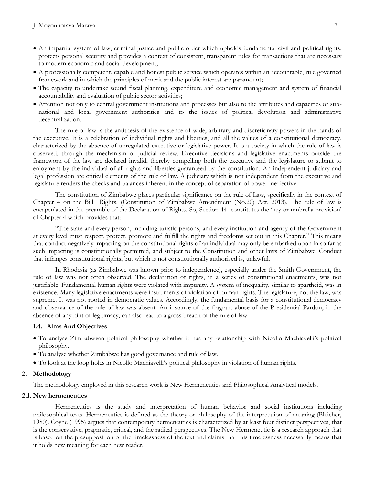- An impartial system of law, criminal justice and public order which upholds fundamental civil and political rights, protects personal security and provides a context of consistent, transparent rules for transactions that are necessary to modern economic and social development;
- A professionally competent, capable and honest public service which operates within an accountable, rule governed framework and in which the principles of merit and the public interest are paramount;
- The capacity to undertake sound fiscal planning, expenditure and economic management and system of financial accountability and evaluation of public sector activities;
- Attention not only to central government institutions and processes but also to the attributes and capacities of subnational and local government authorities and to the issues of political devolution and administrative decentralization.

The rule of law is the antithesis of the existence of wide, arbitrary and discretionary powers in the hands of the executive. It is a celebration of individual rights and liberties, and all the values of a constitutional democracy, characterized by the absence of unregulated executive or legislative power. It is a society in which the rule of law is observed, through the mechanism of judicial review. Executive decisions and legislative enactments outside the framework of the law are declared invalid, thereby compelling both the executive and the legislature to submit to enjoyment by the individual of all rights and liberties guaranteed by the constitution. An independent judiciary and legal profession are critical elements of the rule of law. A judiciary which is not independent from the executive and legislature renders the checks and balances inherent in the concept of separation of power ineffective.

The constitution of Zimbabwe places particular significance on the rule of Law, specifically in the context of Chapter 4 on the Bill Rights. (Constitution of Zimbabwe Amendment (No.20) Act, 2013). The rule of law is encapsulated in the preamble of the Declaration of Rights. So, Section 44 constitutes the "key or umbrella provision" of Chapter 4 which provides that:

"The state and every person, including juristic persons, and every institution and agency of the Government at every level must respect, protect, promote and fulfill the rights and freedoms set out in this Chapter." This means that conduct negatively impacting on the constitutional rights of an individual may only be embarked upon in so far as such impacting is constitutionally permitted, and subject to the Constitution and other laws of Zimbabwe. Conduct that infringes constitutional rights, but which is not constitutionally authorised is, unlawful.

In Rhodesia (as Zimbabwe was known prior to independence), especially under the Smith Government, the rule of law was not often observed. The declaration of rights, in a series of constitutional enactments, was not justifiable. Fundamental human rights were violated with impunity. A system of inequality, similar to apartheid, was in existence. Many legislative enactments were instruments of violation of human rights. The legislature, not the law, was supreme. It was not rooted in democratic values. Accordingly, the fundamental basis for a constitutional democracy and observance of the rule of law was absent. An instance of the fragrant abuse of the Presidential Pardon, in the absence of any hint of legitimacy, can also lead to a gross breach of the rule of law.

### **1.4. Aims And Objectives**

- To analyse Zimbabwean political philosophy whether it has any relationship with Nicollo Machiavelli"s political philosophy.
- To analyse whether Zimbabwe has good governance and rule of law.
- To look at the loop holes in Nicollo Machiavelli"s political philosophy in violation of human rights.

#### **2. Methodology**

The methodology employed in this research work is New Hermeneutics and Philosophical Analytical models.

#### **2.1. New hermeneutics**

Hermeneutics is the study and interpretation of human behavior and social institutions including philosophical texts. Hermeneutics is defined as the theory or philosophy of the interpretation of meaning (Bleicher, 1980). Coyne (1995) argues that contemporary hermeneutics is characterized by at least four distinct perspectives, that is the conservative, pragmatic, critical, and the radical perspectives. The New Hermeneutic is a research approach that is based on the presupposition of the timelessness of the text and claims that this timelessness necessarily means that it holds new meaning for each new reader.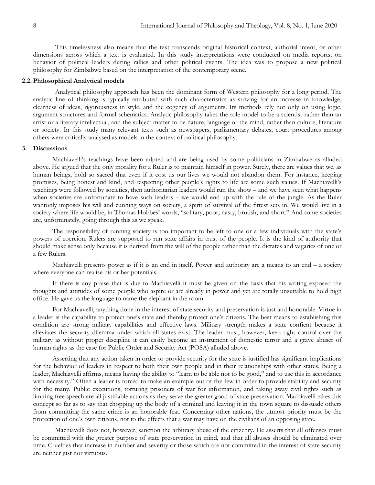This timelessness also means that the text transcends original historical context, authorial intent, or other dimensions across which a text is evaluated. In this study interpretations were conducted on media reports; on behavior of political leaders during rallies and other political events. The idea was to propose a new political philosophy for Zimbabwe based on the interpretation of the contemporary scene.

### **2.2. Philosophical Analytical models**

Analytical philosophy approach has been the dominant form of Western philosophy for a long period. The analytic line of thinking is typically attributed with such characteristics as striving for an increase in knowledge, clearness of ideas, rigorousness in style, and the cogency of arguments. Its methods rely not only on using logic, argument structures and formal schematics. Analytic philosophy takes the role model to be a scientist rather than an artist or a literary intellectual, and the subject matter to be nature, language or the mind, rather than culture, literature or society. In this study many relevant texts such as newspapers, parliamentary debates, court procedures among others were critically analysed as models in the context of political philosophy.

### **3. Discussions**

Machiavelli"s teachings have been adpted and are being used by some politicians in Zimbabwe as alluded above. He argued that the only morality for a Ruler is to maintain himself in power. Surely, there are values that we, as human beings, hold so sacred that even if it cost us our lives we would not abandon them. For instance, keeping promises, being honest and kind, and respecting other people"s rights to life are some such values. If Machiavelli"s teachings were followed by societies, then authoritarian leaders would run the show – and we have seen what happens when societies are unfortunate to have such leaders – we would end up with the rule of the jungle. As the Ruler wantonly imposes his will and cunning ways on society, a spirit of survival of the fittest sets in. We would live in a society where life would be, in Thomas Hobbes' words, "solitary, poor, nasty, brutish, and short." And some societies are, unfortunately, going through this as we speak.

The responsibility of running society is too important to be left to one or a few individuals with the state"s powers of coercion. Rulers are supposed to run state affairs in trust of the people. It is the kind of authority that should make sense only because it is derived from the will of the people rather than the dictates and vagaries of one or a few Rulers.

Machiavelli presents power as if it is an end in itself. Power and authority are a means to an end – a society where everyone can realise his or her potentials.

If there is any praise that is due to Machiavelli it must be given on the basis that his writing exposed the thoughts and attitudes of some people who aspire or are already in power and yet are totally unsuitable to hold high office. He gave us the language to name the elephant in the room.

For Machiavelli, anything done in the interest of state security and preservation is just and honorable. Virtue in a leader is the capability to protect one's state and thereby protect one's citizens. The best means to establishing this condition are strong military capabilities and effective laws. Military strength makes a state confient because it alleviates the security dilemma under which all states exist. The leader must, however, keep tight control over the military as without proper discipline it can easily become an instrument of domestic terror and a grave abuser of human rights as the case for Public Order and Security Act (POSA) alluded above.

Asserting that any action taken in order to provide security for the state is justified has significant implications for the behavior of leaders in respect to both their own people and in their relationships with other states. Being a leader, Machiavelli affirms, means having the ability to "learn to be able not to be good," and to use this in accordance with necessity." Often a leader is forced to make an example out of the few in order to provide stability and security for the many. Public executions, torturing prisoners of war for information, and taking away civil rights such as limiting free speech are all justifiable actions as they serve the greater good of state preservation. Machiavelli takes this concept so far as to say that chopping up the body of a criminal and leaving it in the town square to dissuade others from committing the same crime is an honorable feat. Concerning other nations, the utmost priority must be the protection of one"s own citizens, not to the effects that a war may have on the civilians of an opposing state.

Machiavelli does not, however, sanction the arbitrary abuse of the citizenry. He asserts that all offenses must be committed with the greater purpose of state preservation in mind, and that all abuses should be eliminated over time. Cruelties that increase in number and severity or those which are not committed in the interest of state security are neither just nor virtuous.